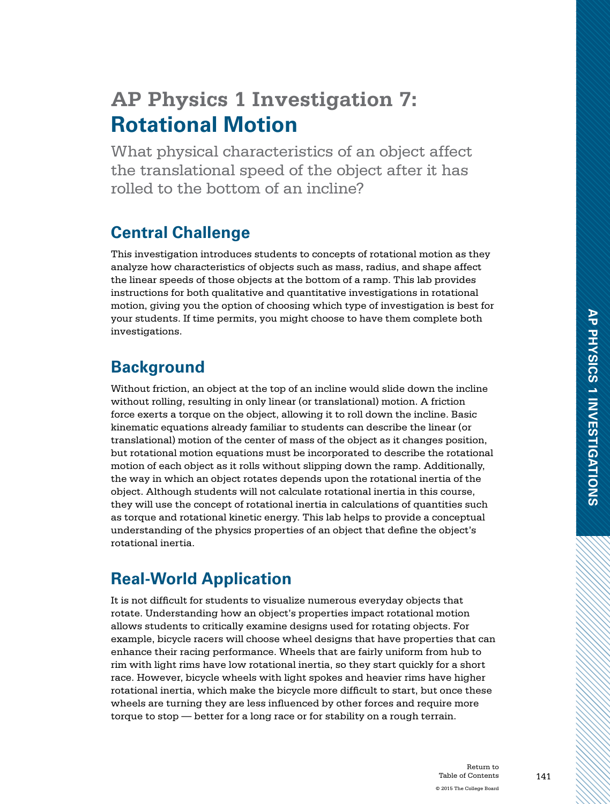# **AP Physics 1 Investigation 7: Rotational Motion**

What physical characteristics of an object affect the translational speed of the object after it has rolled to the bottom of an incline?

## **Central Challenge**

This investigation introduces students to concepts of rotational motion as they analyze how characteristics of objects such as mass, radius, and shape affect the linear speeds of those objects at the bottom of a ramp. This lab provides instructions for both qualitative and quantitative investigations in rotational motion, giving you the option of choosing which type of investigation is best for your students. If time permits, you might choose to have them complete both investigations.

## **Background**

Without friction, an object at the top of an incline would slide down the incline without rolling, resulting in only linear (or translational) motion. A friction force exerts a torque on the object, allowing it to roll down the incline. Basic kinematic equations already familiar to students can describe the linear (or translational) motion of the center of mass of the object as it changes position, but rotational motion equations must be incorporated to describe the rotational motion of each object as it rolls without slipping down the ramp. Additionally, the way in which an object rotates depends upon the rotational inertia of the object. Although students will not calculate rotational inertia in this course, they will use the concept of rotational inertia in calculations of quantities such as torque and rotational kinetic energy. This lab helps to provide a conceptual understanding of the physics properties of an object that define the object's rotational inertia.

## **Real-World Application**

It is not difficult for students to visualize numerous everyday objects that rotate. Understanding how an object's properties impact rotational motion allows students to critically examine designs used for rotating objects. For example, bicycle racers will choose wheel designs that have properties that can enhance their racing performance. Wheels that are fairly uniform from hub to rim with light rims have low rotational inertia, so they start quickly for a short race. However, bicycle wheels with light spokes and heavier rims have higher rotational inertia, which make the bicycle more difficult to start, but once these wheels are turning they are less influenced by other forces and require more torque to stop — better for a long race or for stability on a rough terrain.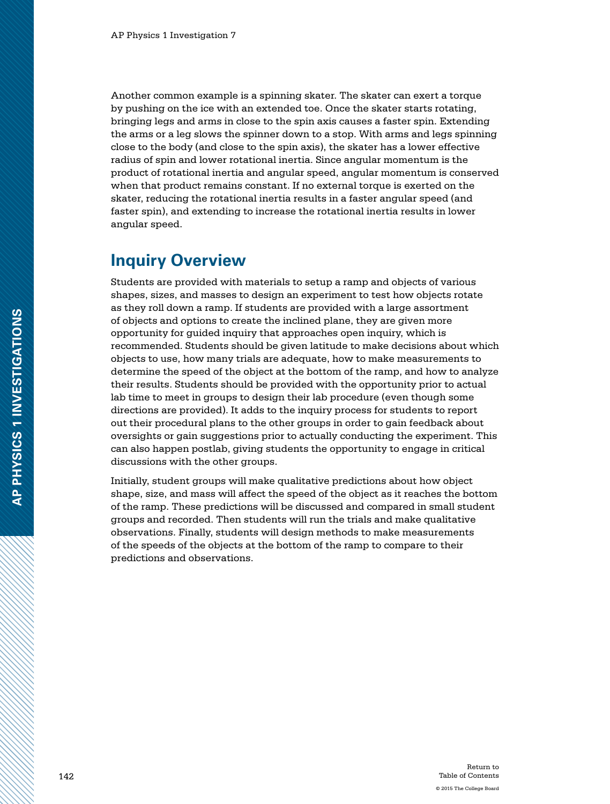Another common example is a spinning skater. The skater can exert a torque by pushing on the ice with an extended toe. Once the skater starts rotating, bringing legs and arms in close to the spin axis causes a faster spin. Extending the arms or a leg slows the spinner down to a stop. With arms and legs spinning close to the body (and close to the spin axis), the skater has a lower effective radius of spin and lower rotational inertia. Since angular momentum is the product of rotational inertia and angular speed, angular momentum is conserved when that product remains constant. If no external torque is exerted on the skater, reducing the rotational inertia results in a faster angular speed (and faster spin), and extending to increase the rotational inertia results in lower angular speed.

### **Inquiry Overview**

Students are provided with materials to setup a ramp and objects of various shapes, sizes, and masses to design an experiment to test how objects rotate as they roll down a ramp. If students are provided with a large assortment of objects and options to create the inclined plane, they are given more opportunity for guided inquiry that approaches open inquiry, which is recommended. Students should be given latitude to make decisions about which objects to use, how many trials are adequate, how to make measurements to determine the speed of the object at the bottom of the ramp, and how to analyze their results. Students should be provided with the opportunity prior to actual lab time to meet in groups to design their lab procedure (even though some directions are provided). It adds to the inquiry process for students to report out their procedural plans to the other groups in order to gain feedback about oversights or gain suggestions prior to actually conducting the experiment. This can also happen postlab, giving students the opportunity to engage in critical discussions with the other groups.

Initially, student groups will make qualitative predictions about how object shape, size, and mass will affect the speed of the object as it reaches the bottom of the ramp. These predictions will be discussed and compared in small student groups and recorded. Then students will run the trials and make qualitative observations. Finally, students will design methods to make measurements of the speeds of the objects at the bottom of the ramp to compare to their predictions and observations.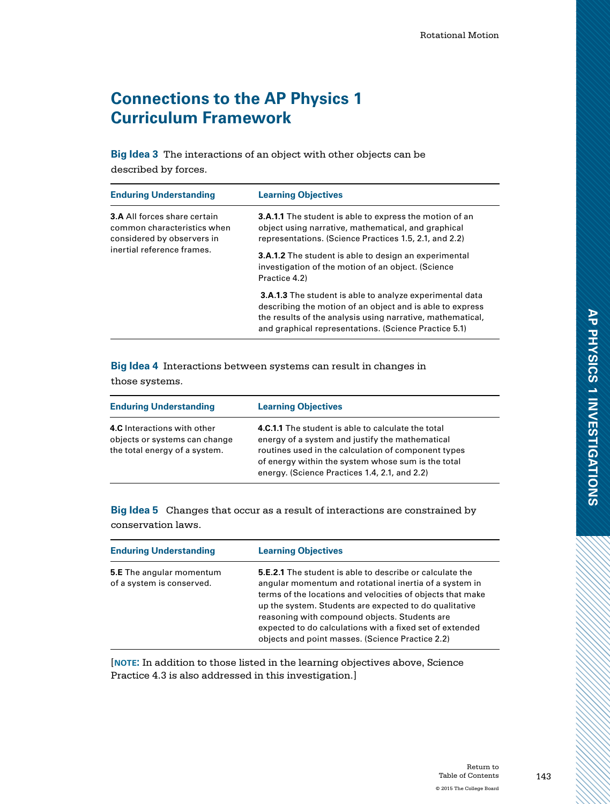## **Connections to the AP Physics 1 Curriculum Framework**

**Big Idea 3** The interactions of an object with other objects can be described by forces.

| <b>Enduring Understanding</b>                                                                                                  | <b>Learning Objectives</b>                                                                                                                                                                                                                          |
|--------------------------------------------------------------------------------------------------------------------------------|-----------------------------------------------------------------------------------------------------------------------------------------------------------------------------------------------------------------------------------------------------|
| <b>3.A All forces share certain</b><br>common characteristics when<br>considered by observers in<br>inertial reference frames. | <b>3.A.1.1</b> The student is able to express the motion of an<br>object using narrative, mathematical, and graphical<br>representations. (Science Practices 1.5, 2.1, and 2.2)                                                                     |
|                                                                                                                                | <b>3.A.1.2</b> The student is able to design an experimental<br>investigation of the motion of an object. (Science<br>Practice 4.2)                                                                                                                 |
|                                                                                                                                | <b>3.A.1.3</b> The student is able to analyze experimental data<br>describing the motion of an object and is able to express<br>the results of the analysis using narrative, mathematical,<br>and graphical representations. (Science Practice 5.1) |

**Big Idea 4** Interactions between systems can result in changes in those systems.

| <b>Enduring Understanding</b>                                                                 | <b>Learning Objectives</b>                                                                                                                                                                                                                                          |
|-----------------------------------------------------------------------------------------------|---------------------------------------------------------------------------------------------------------------------------------------------------------------------------------------------------------------------------------------------------------------------|
| 4.C Interactions with other<br>objects or systems can change<br>the total energy of a system. | 4.C.1.1 The student is able to calculate the total<br>energy of a system and justify the mathematical<br>routines used in the calculation of component types<br>of energy within the system whose sum is the total<br>energy. (Science Practices 1.4, 2.1, and 2.2) |

**Big Idea 5** Changes that occur as a result of interactions are constrained by conservation laws.

| <b>Enduring Understanding</b>                                | <b>Learning Objectives</b>                                                                                                                                                                                                                                                                                                                                                                                         |
|--------------------------------------------------------------|--------------------------------------------------------------------------------------------------------------------------------------------------------------------------------------------------------------------------------------------------------------------------------------------------------------------------------------------------------------------------------------------------------------------|
| <b>5.E</b> The angular momentum<br>of a system is conserved. | <b>5.E.2.1</b> The student is able to describe or calculate the<br>angular momentum and rotational inertia of a system in<br>terms of the locations and velocities of objects that make<br>up the system. Students are expected to do qualitative<br>reasoning with compound objects. Students are<br>expected to do calculations with a fixed set of extended<br>objects and point masses. (Science Practice 2.2) |

[**note:** In addition to those listed in the learning objectives above, Science Practice 4.3 is also addressed in this investigation.]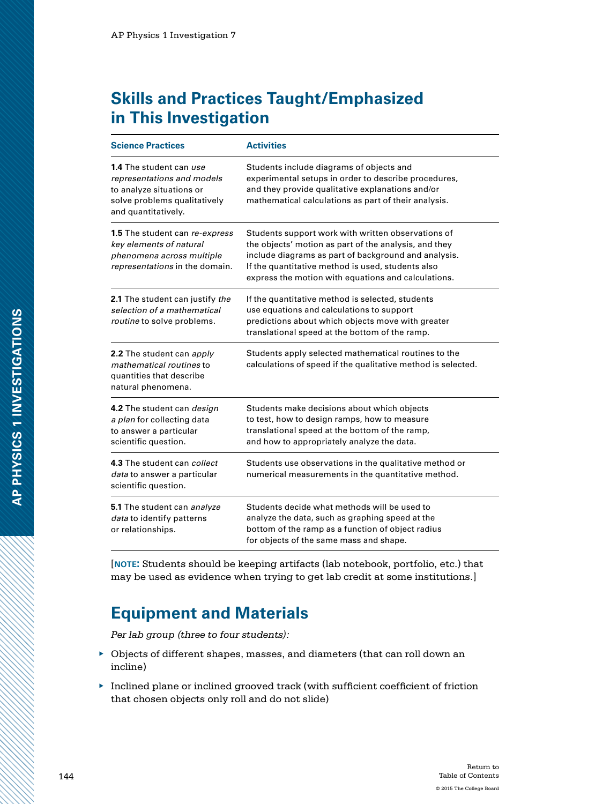## **Skills and Practices Taught/Emphasized in This Investigation**

| <b>Science Practices</b>                                                                                                                        | <b>Activities</b>                                                                                                                                                                                                                                                               |
|-------------------------------------------------------------------------------------------------------------------------------------------------|---------------------------------------------------------------------------------------------------------------------------------------------------------------------------------------------------------------------------------------------------------------------------------|
| <b>1.4</b> The student can use<br>representations and models<br>to analyze situations or<br>solve problems qualitatively<br>and quantitatively. | Students include diagrams of objects and<br>experimental setups in order to describe procedures,<br>and they provide qualitative explanations and/or<br>mathematical calculations as part of their analysis.                                                                    |
| 1.5 The student can re-express<br>key elements of natural<br>phenomena across multiple<br>representations in the domain.                        | Students support work with written observations of<br>the objects' motion as part of the analysis, and they<br>include diagrams as part of background and analysis.<br>If the quantitative method is used, students also<br>express the motion with equations and calculations. |
| 2.1 The student can justify the<br>selection of a mathematical<br>routine to solve problems.                                                    | If the quantitative method is selected, students<br>use equations and calculations to support<br>predictions about which objects move with greater<br>translational speed at the bottom of the ramp.                                                                            |
| 2.2 The student can apply<br>mathematical routines to<br>quantities that describe<br>natural phenomena.                                         | Students apply selected mathematical routines to the<br>calculations of speed if the qualitative method is selected.                                                                                                                                                            |
| 4.2 The student can <i>design</i><br>a plan for collecting data<br>to answer a particular<br>scientific question.                               | Students make decisions about which objects<br>to test, how to design ramps, how to measure<br>translational speed at the bottom of the ramp,<br>and how to appropriately analyze the data.                                                                                     |
| 4.3 The student can collect<br>data to answer a particular<br>scientific question.                                                              | Students use observations in the qualitative method or<br>numerical measurements in the quantitative method.                                                                                                                                                                    |
| 5.1 The student can analyze<br>data to identify patterns<br>or relationships.                                                                   | Students decide what methods will be used to<br>analyze the data, such as graphing speed at the<br>bottom of the ramp as a function of object radius<br>for objects of the same mass and shape.                                                                                 |

[**note:** Students should be keeping artifacts (lab notebook, portfolio, etc.) that may be used as evidence when trying to get lab credit at some institutions.]

### **Equipment and Materials**

*Per lab group (three to four students):*

- ▶ Objects of different shapes, masses, and diameters (that can roll down an incline)
- ▶ Inclined plane or inclined grooved track (with sufficient coefficient of friction that chosen objects only roll and do not slide)

a a como de de como de de como de de como de de como de de como de de como de de como de de como de de como de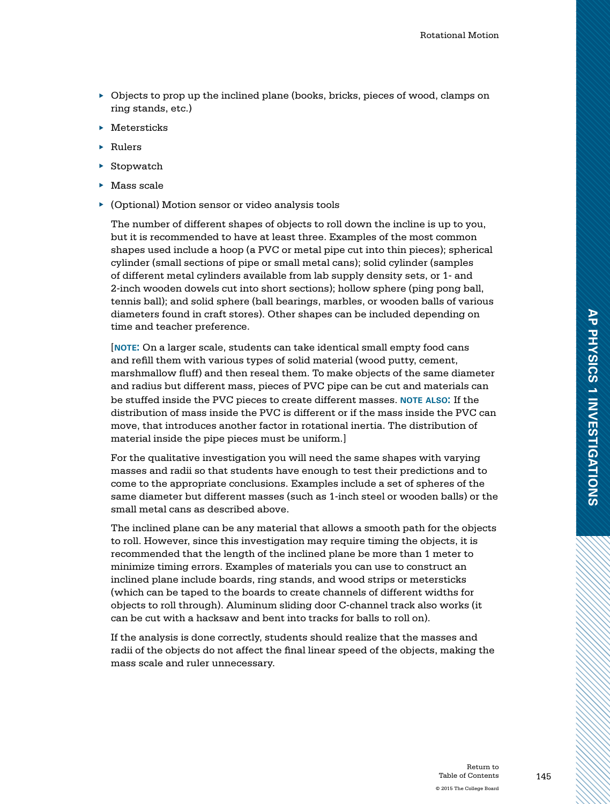- ▶ Objects to prop up the inclined plane (books, bricks, pieces of wood, clamps on ring stands, etc.)
- ▶ Metersticks
- ▶ Rulers
- $\triangleright$  Stopwatch
- ▶ Mass scale
- ▶ (Optional) Motion sensor or video analysis tools

The number of different shapes of objects to roll down the incline is up to you, but it is recommended to have at least three. Examples of the most common shapes used include a hoop (a PVC or metal pipe cut into thin pieces); spherical cylinder (small sections of pipe or small metal cans); solid cylinder (samples of different metal cylinders available from lab supply density sets, or 1- and 2-inch wooden dowels cut into short sections); hollow sphere (ping pong ball, tennis ball); and solid sphere (ball bearings, marbles, or wooden balls of various diameters found in craft stores). Other shapes can be included depending on time and teacher preference.

[**note:** On a larger scale, students can take identical small empty food cans and refill them with various types of solid material (wood putty, cement, marshmallow fluff) and then reseal them. To make objects of the same diameter and radius but different mass, pieces of PVC pipe can be cut and materials can be stuffed inside the PVC pieces to create different masses. **note also:** If the distribution of mass inside the PVC is different or if the mass inside the PVC can move, that introduces another factor in rotational inertia. The distribution of material inside the pipe pieces must be uniform.]

For the qualitative investigation you will need the same shapes with varying masses and radii so that students have enough to test their predictions and to come to the appropriate conclusions. Examples include a set of spheres of the same diameter but different masses (such as 1-inch steel or wooden balls) or the small metal cans as described above.

The inclined plane can be any material that allows a smooth path for the objects to roll. However, since this investigation may require timing the objects, it is recommended that the length of the inclined plane be more than 1 meter to minimize timing errors. Examples of materials you can use to construct an inclined plane include boards, ring stands, and wood strips or metersticks (which can be taped to the boards to create channels of different widths for objects to roll through). Aluminum sliding door C-channel track also works (it can be cut with a hacksaw and bent into tracks for balls to roll on).

If the analysis is done correctly, students should realize that the masses and radii of the objects do not affect the final linear speed of the objects, making the mass scale and ruler unnecessary.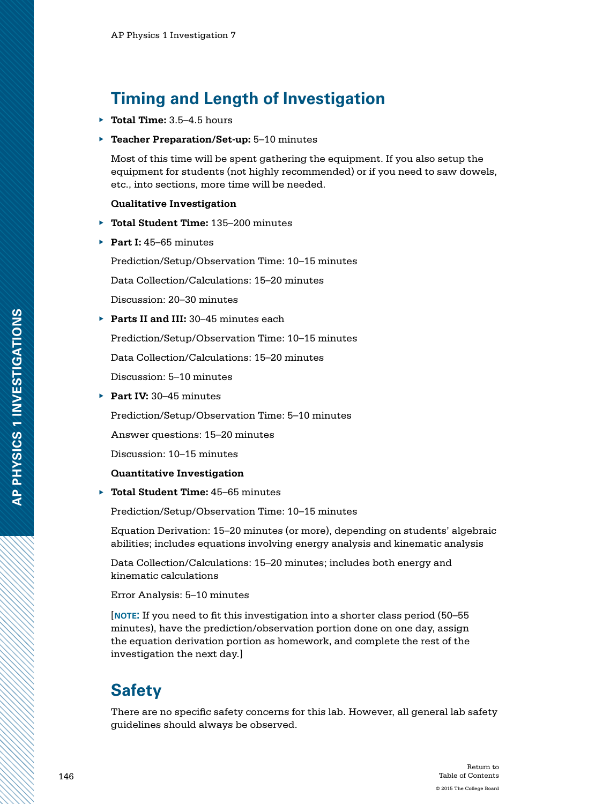## **Timing and Length of Investigation**

- ▶ **Total Time:** 3.5–4.5 hours
- **Teacher Preparation/Set-up:** 5-10 minutes

Most of this time will be spent gathering the equipment. If you also setup the equipment for students (not highly recommended) or if you need to saw dowels, etc., into sections, more time will be needed.

#### **Qualitative Investigation**

- ▶ **Total Student Time:** 135–200 minutes
- ▶ **Part I:** 45–65 minutes

Prediction/Setup/Observation Time: 10–15 minutes

Data Collection/Calculations: 15–20 minutes

Discussion: 20–30 minutes

▶ **Parts II and III:** 30–45 minutes each

Prediction/Setup/Observation Time: 10–15 minutes

Data Collection/Calculations: 15–20 minutes

Discussion: 5–10 minutes

▶ **Part IV:** 30–45 minutes

Prediction/Setup/Observation Time: 5–10 minutes

Answer questions: 15–20 minutes

Discussion: 10–15 minutes

#### **Quantitative Investigation**

▶ **Total Student Time:** 45–65 minutes

Prediction/Setup/Observation Time: 10–15 minutes

Equation Derivation: 15–20 minutes (or more), depending on students' algebraic abilities; includes equations involving energy analysis and kinematic analysis

Data Collection/Calculations: 15–20 minutes; includes both energy and kinematic calculations

Error Analysis: 5–10 minutes

[**note:** If you need to fit this investigation into a shorter class period (50–55 minutes), have the prediction/observation portion done on one day, assign the equation derivation portion as homework, and complete the rest of the investigation the next day.]

## **Safety**

There are no specific safety concerns for this lab. However, all general lab safety guidelines should always be observed.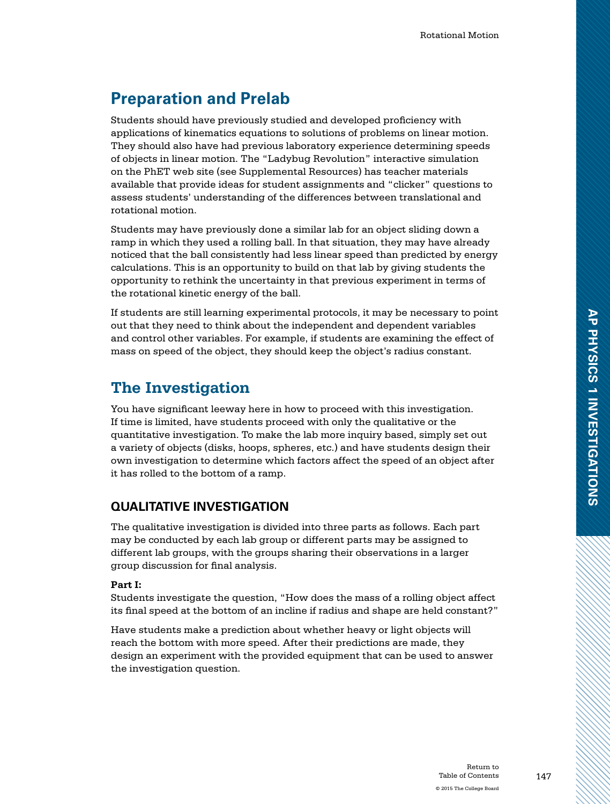## **Preparation and Prelab**

Students should have previously studied and developed proficiency with applications of kinematics equations to solutions of problems on linear motion. They should also have had previous laboratory experience determining speeds of objects in linear motion. The "Ladybug Revolution" interactive simulation on the PhET web site (see Supplemental Resources) has teacher materials available that provide ideas for student assignments and "clicker" questions to assess students' understanding of the differences between translational and rotational motion.

Students may have previously done a similar lab for an object sliding down a ramp in which they used a rolling ball. In that situation, they may have already noticed that the ball consistently had less linear speed than predicted by energy calculations. This is an opportunity to build on that lab by giving students the opportunity to rethink the uncertainty in that previous experiment in terms of the rotational kinetic energy of the ball.

If students are still learning experimental protocols, it may be necessary to point out that they need to think about the independent and dependent variables and control other variables. For example, if students are examining the effect of mass on speed of the object, they should keep the object's radius constant.

### **The Investigation**

You have significant leeway here in how to proceed with this investigation. If time is limited, have students proceed with only the qualitative or the quantitative investigation. To make the lab more inquiry based, simply set out a variety of objects (disks, hoops, spheres, etc.) and have students design their own investigation to determine which factors affect the speed of an object after it has rolled to the bottom of a ramp.

### **QUALITATIVE INVESTIGATION**

The qualitative investigation is divided into three parts as follows. Each part may be conducted by each lab group or different parts may be assigned to different lab groups, with the groups sharing their observations in a larger group discussion for final analysis.

#### **Part I:**

Students investigate the question, "How does the mass of a rolling object affect its final speed at the bottom of an incline if radius and shape are held constant?"

Have students make a prediction about whether heavy or light objects will reach the bottom with more speed. After their predictions are made, they design an experiment with the provided equipment that can be used to answer the investigation question.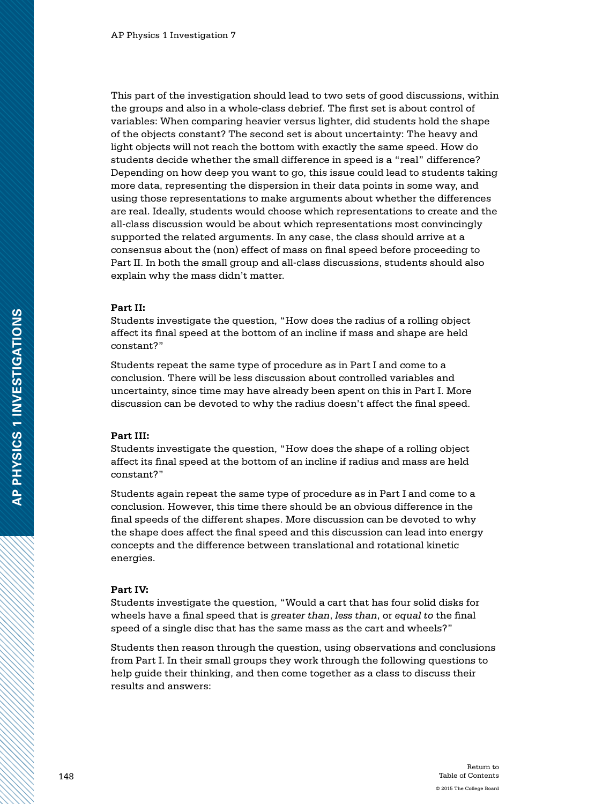This part of the investigation should lead to two sets of good discussions, within the groups and also in a whole-class debrief. The first set is about control of variables: When comparing heavier versus lighter, did students hold the shape of the objects constant? The second set is about uncertainty: The heavy and light objects will not reach the bottom with exactly the same speed. How do students decide whether the small difference in speed is a "real" difference? Depending on how deep you want to go, this issue could lead to students taking more data, representing the dispersion in their data points in some way, and using those representations to make arguments about whether the differences are real. Ideally, students would choose which representations to create and the all-class discussion would be about which representations most convincingly supported the related arguments. In any case, the class should arrive at a consensus about the (non) effect of mass on final speed before proceeding to Part II. In both the small group and all-class discussions, students should also explain why the mass didn't matter.

#### **Part II:**

Students investigate the question, "How does the radius of a rolling object affect its final speed at the bottom of an incline if mass and shape are held constant?"

Students repeat the same type of procedure as in Part I and come to a conclusion. There will be less discussion about controlled variables and uncertainty, since time may have already been spent on this in Part I. More discussion can be devoted to why the radius doesn't affect the final speed.

#### **Part III:**

Students investigate the question, "How does the shape of a rolling object affect its final speed at the bottom of an incline if radius and mass are held constant?"

Students again repeat the same type of procedure as in Part I and come to a conclusion. However, this time there should be an obvious difference in the final speeds of the different shapes. More discussion can be devoted to why the shape does affect the final speed and this discussion can lead into energy concepts and the difference between translational and rotational kinetic energies.

#### **Part IV:**

Students investigate the question, "Would a cart that has four solid disks for wheels have a final speed that is *greater than*, *less than*, or *equal to* the final speed of a single disc that has the same mass as the cart and wheels?"

Students then reason through the question, using observations and conclusions from Part I. In their small groups they work through the following questions to help guide their thinking, and then come together as a class to discuss their results and answers: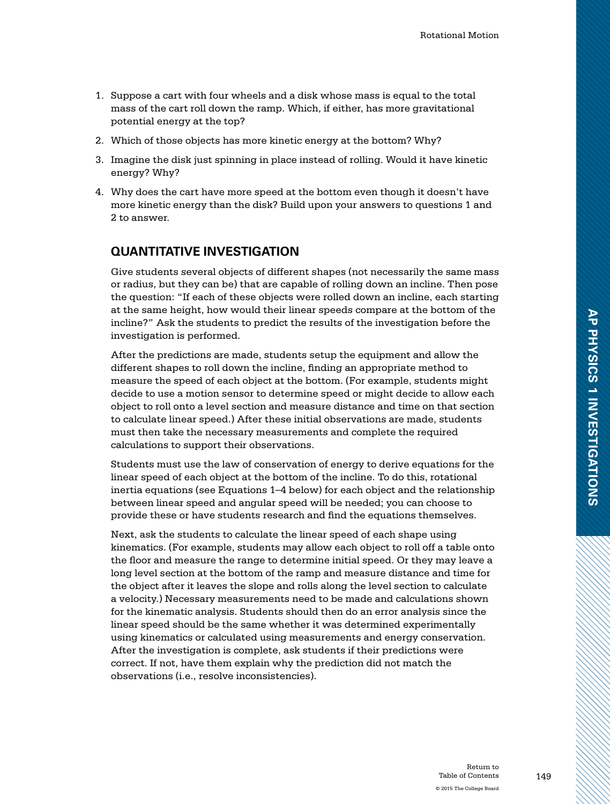- 1. Suppose a cart with four wheels and a disk whose mass is equal to the total mass of the cart roll down the ramp. Which, if either, has more gravitational potential energy at the top?
- 2. Which of those objects has more kinetic energy at the bottom? Why?
- 3. Imagine the disk just spinning in place instead of rolling. Would it have kinetic energy? Why?
- 4. Why does the cart have more speed at the bottom even though it doesn't have more kinetic energy than the disk? Build upon your answers to questions 1 and 2 to answer.

#### **QUANTITATIVE INVESTIGATION**

Give students several objects of different shapes (not necessarily the same mass or radius, but they can be) that are capable of rolling down an incline. Then pose the question: "If each of these objects were rolled down an incline, each starting at the same height, how would their linear speeds compare at the bottom of the incline?" Ask the students to predict the results of the investigation before the investigation is performed.

After the predictions are made, students setup the equipment and allow the different shapes to roll down the incline, finding an appropriate method to measure the speed of each object at the bottom. (For example, students might decide to use a motion sensor to determine speed or might decide to allow each object to roll onto a level section and measure distance and time on that section to calculate linear speed.) After these initial observations are made, students must then take the necessary measurements and complete the required calculations to support their observations.

Students must use the law of conservation of energy to derive equations for the linear speed of each object at the bottom of the incline. To do this, rotational inertia equations (see Equations 1–4 below) for each object and the relationship between linear speed and angular speed will be needed; you can choose to provide these or have students research and find the equations themselves.

Next, ask the students to calculate the linear speed of each shape using kinematics. (For example, students may allow each object to roll off a table onto the floor and measure the range to determine initial speed. Or they may leave a long level section at the bottom of the ramp and measure distance and time for the object after it leaves the slope and rolls along the level section to calculate a velocity.) Necessary measurements need to be made and calculations shown for the kinematic analysis. Students should then do an error analysis since the linear speed should be the same whether it was determined experimentally using kinematics or calculated using measurements and energy conservation. After the investigation is complete, ask students if their predictions were correct. If not, have them explain why the prediction did not match the observations (i.e., resolve inconsistencies).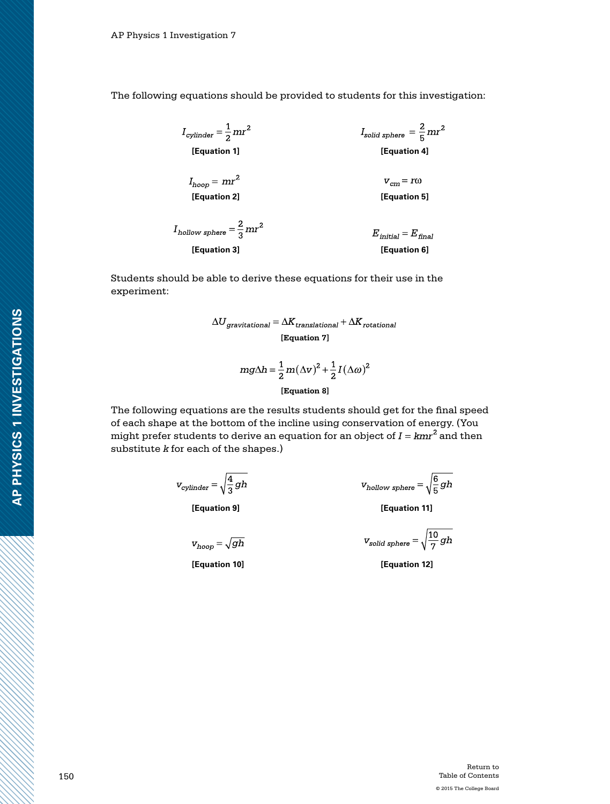The following equations should be provided to students for this investigation:

 $I_{cylinder} = \frac{1}{2} mr^2$  $I_{solid\ sphere} = \frac{2}{5} mr^2$ **[Equation 1] [Equation 4]**  $I_{hoop} = mr^2$  $v_{cm} = r\omega$ 

 $I_{\rm hollow\ sphere} = \frac{2}{3} m r^2$  $E_{initial} = E_{final}$ **[Equation 3] [Equation 6]**

Students should be able to derive these equations for their use in the experiment:

$$
\Delta U_{gravitational} = \Delta K_{translational} + \Delta K_{rotational}
$$
  
[Equation 7]

$$
mg\Delta h = \frac{1}{2}m(\Delta v)^{2} + \frac{1}{2}I(\Delta \omega)^{2}
$$
  
[Equation 8]

The following equations are the results students should get for the final speed of each shape at the bottom of the incline using conservation of energy. (You might prefer students to derive an equation for an object of  $I = kmr^2$  and then substitute *k* for each of the shapes.)

$$
v_{cylinder} = \sqrt{\frac{4}{3}gh}
$$

**[Equation 2] [Equation 5]**

$$
\textit{v}_{hoop}^{} \!=\!\sqrt{gh}
$$

**[Equation 10] [Equation 12]**

$$
v_{\text{hollow sphere}} = \sqrt{\frac{6}{5}gh}
$$

**[Equation 9] [Equation 11]**

$$
v_{solid\ sphere} = \sqrt{\frac{10}{7}gh}
$$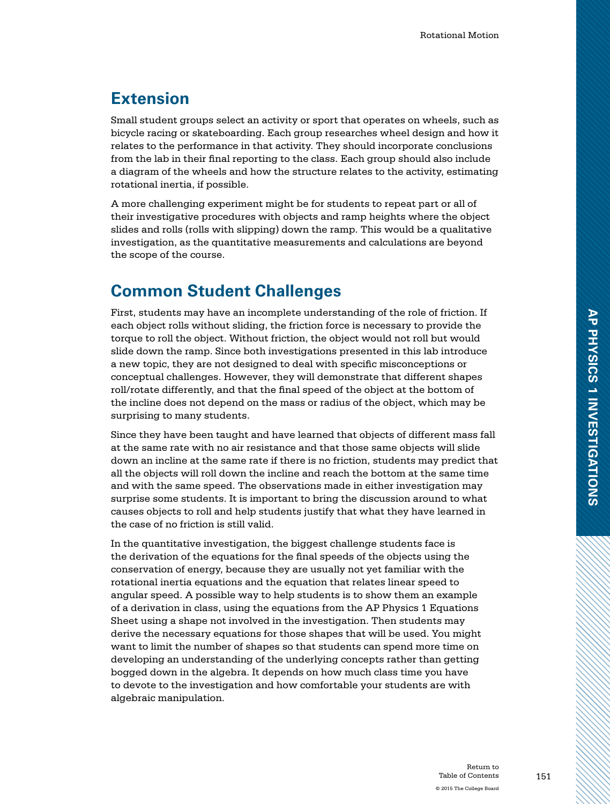### **Extension**

Small student groups select an activity or sport that operates on wheels, such as bicycle racing or skateboarding. Each group researches wheel design and how it relates to the performance in that activity. They should incorporate conclusions from the lab in their final reporting to the class. Each group should also include a diagram of the wheels and how the structure relates to the activity, estimating rotational inertia, if possible.

A more challenging experiment might be for students to repeat part or all of their investigative procedures with objects and ramp heights where the object slides and rolls (rolls with slipping) down the ramp. This would be a qualitative investigation, as the quantitative measurements and calculations are beyond the scope of the course.

### **Common Student Challenges**

First, students may have an incomplete understanding of the role of friction. If each object rolls without sliding, the friction force is necessary to provide the torque to roll the object. Without friction, the object would not roll but would slide down the ramp. Since both investigations presented in this lab introduce a new topic, they are not designed to deal with specific misconceptions or conceptual challenges. However, they will demonstrate that different shapes roll/rotate differently, and that the final speed of the object at the bottom of the incline does not depend on the mass or radius of the object, which may be surprising to many students.

Since they have been taught and have learned that objects of different mass fall at the same rate with no air resistance and that those same objects will slide down an incline at the same rate if there is no friction, students may predict that all the objects will roll down the incline and reach the bottom at the same time and with the same speed. The observations made in either investigation may surprise some students. It is important to bring the discussion around to what causes objects to roll and help students justify that what they have learned in the case of no friction is still valid.

In the quantitative investigation, the biggest challenge students face is the derivation of the equations for the final speeds of the objects using the conservation of energy, because they are usually not yet familiar with the rotational inertia equations and the equation that relates linear speed to angular speed. A possible way to help students is to show them an example of a derivation in class, using the equations from the AP Physics 1 Equations Sheet using a shape not involved in the investigation. Then students may derive the necessary equations for those shapes that will be used. You might want to limit the number of shapes so that students can spend more time on developing an understanding of the underlying concepts rather than getting bogged down in the algebra. It depends on how much class time you have to devote to the investigation and how comfortable your students are with algebraic manipulation.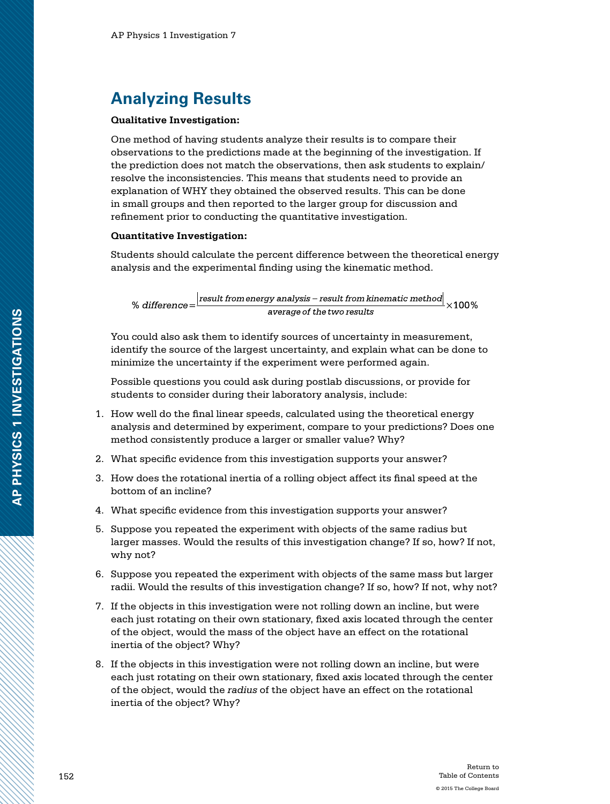### **Analyzing Results**

#### **Qualitative Investigation:**

One method of having students analyze their results is to compare their observations to the predictions made at the beginning of the investigation. If the prediction does not match the observations, then ask students to explain/ resolve the inconsistencies. This means that students need to provide an explanation of WHY they obtained the observed results. This can be done in small groups and then reported to the larger group for discussion and refinement prior to conducting the quantitative investigation.

#### **Quantitative Investigation:**

Students should calculate the percent difference between the theoretical energy analysis and the experimental finding using the kinematic method.

result from energy analysis - result from kinematic method  $\times$ 100% % difference= average of the two results

You could also ask them to identify sources of uncertainty in measurement, identify the source of the largest uncertainty, and explain what can be done to minimize the uncertainty if the experiment were performed again.

Possible questions you could ask during postlab discussions, or provide for students to consider during their laboratory analysis, include:

- 1. How well do the final linear speeds, calculated using the theoretical energy analysis and determined by experiment, compare to your predictions? Does one method consistently produce a larger or smaller value? Why?
- 2. What specific evidence from this investigation supports your answer?
- 3. How does the rotational inertia of a rolling object affect its final speed at the bottom of an incline?
- 4. What specific evidence from this investigation supports your answer?
- 5. Suppose you repeated the experiment with objects of the same radius but larger masses. Would the results of this investigation change? If so, how? If not, why not?
- 6. Suppose you repeated the experiment with objects of the same mass but larger radii. Would the results of this investigation change? If so, how? If not, why not?
- 7. If the objects in this investigation were not rolling down an incline, but were each just rotating on their own stationary, fixed axis located through the center of the object, would the mass of the object have an effect on the rotational inertia of the object? Why?
- 8. If the objects in this investigation were not rolling down an incline, but were each just rotating on their own stationary, fixed axis located through the center of the object, would the *radius* of the object have an effect on the rotational inertia of the object? Why?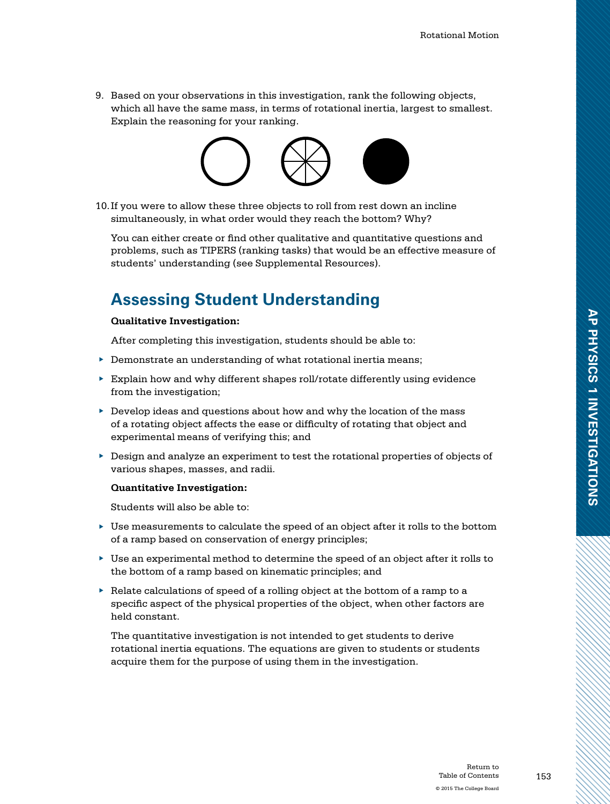9. Based on your observations in this investigation, rank the following objects, which all have the same mass, in terms of rotational inertia, largest to smallest. Explain the reasoning for your ranking.



10.If you were to allow these three objects to roll from rest down an incline simultaneously, in what order would they reach the bottom? Why?

You can either create or find other qualitative and quantitative questions and problems, such as TIPERS (ranking tasks) that would be an effective measure of students' understanding (see Supplemental Resources).

### **Assessing Student Understanding**

#### **Qualitative Investigation:**

After completing this investigation, students should be able to:

- ▶ Demonstrate an understanding of what rotational inertia means;
- $\blacktriangleright$  Explain how and why different shapes roll/rotate differently using evidence from the investigation;
- $\blacktriangleright$  Develop ideas and questions about how and why the location of the mass of a rotating object affects the ease or difficulty of rotating that object and experimental means of verifying this; and
- ▶ Design and analyze an experiment to test the rotational properties of objects of various shapes, masses, and radii.

#### **Quantitative Investigation:**

Students will also be able to:

- $\blacktriangleright$  Use measurements to calculate the speed of an object after it rolls to the bottom of a ramp based on conservation of energy principles;
- ▶ Use an experimental method to determine the speed of an object after it rolls to the bottom of a ramp based on kinematic principles; and
- ▶ Relate calculations of speed of a rolling object at the bottom of a ramp to a specific aspect of the physical properties of the object, when other factors are held constant.

The quantitative investigation is not intended to get students to derive rotational inertia equations. The equations are given to students or students acquire them for the purpose of using them in the investigation.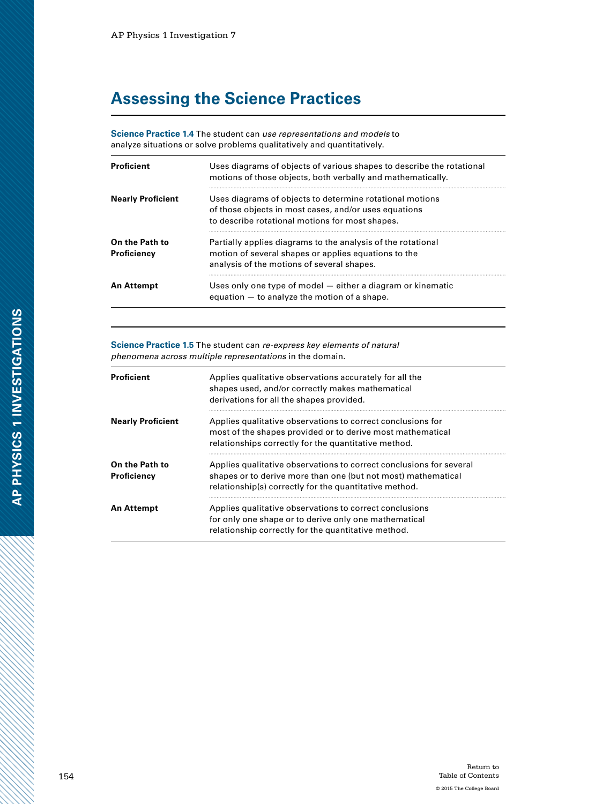## **Assessing the Science Practices**

**Science Practice 1.4** The student can *use representations and models* to analyze situations or solve problems qualitatively and quantitatively.

| <b>Proficient</b>                    | Uses diagrams of objects of various shapes to describe the rotational<br>motions of those objects, both verbally and mathematically.                                 |
|--------------------------------------|----------------------------------------------------------------------------------------------------------------------------------------------------------------------|
| <b>Nearly Proficient</b>             | Uses diagrams of objects to determine rotational motions<br>of those objects in most cases, and/or uses equations<br>to describe rotational motions for most shapes. |
| On the Path to<br><b>Proficiency</b> | Partially applies diagrams to the analysis of the rotational<br>motion of several shapes or applies equations to the<br>analysis of the motions of several shapes.   |
| An Attempt                           | Uses only one type of model – either a diagram or kinematic<br>equation $-$ to analyze the motion of a shape.                                                        |

**Science Practice 1.5** The student can *re-express key elements of natural phenomena across multiple representations* in the domain.

| <b>Proficient</b>             | Applies qualitative observations accurately for all the<br>shapes used, and/or correctly makes mathematical<br>derivations for all the shapes provided.                                        |
|-------------------------------|------------------------------------------------------------------------------------------------------------------------------------------------------------------------------------------------|
| <b>Nearly Proficient</b>      | Applies qualitative observations to correct conclusions for<br>most of the shapes provided or to derive most mathematical<br>relationships correctly for the quantitative method.              |
| On the Path to<br>Proficiency | Applies qualitative observations to correct conclusions for several<br>shapes or to derive more than one (but not most) mathematical<br>relationship(s) correctly for the quantitative method. |
| <b>An Attempt</b>             | Applies qualitative observations to correct conclusions<br>for only one shape or to derive only one mathematical<br>relationship correctly for the quantitative method.                        |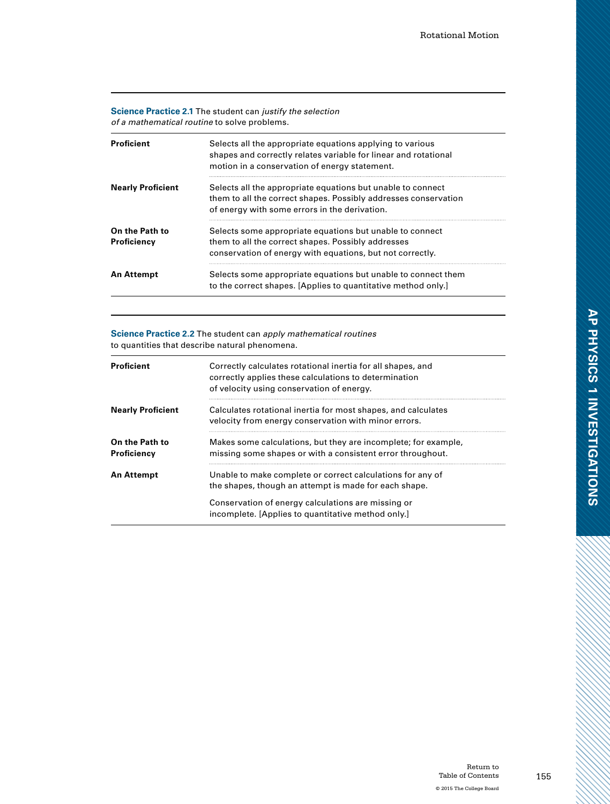#### **Science Practice 2.1** The student can *justify the selection of a mathematical routine* to solve problems.

| <b>Proficient</b>             | Selects all the appropriate equations applying to various<br>shapes and correctly relates variable for linear and rotational<br>motion in a conservation of energy statement.   |
|-------------------------------|---------------------------------------------------------------------------------------------------------------------------------------------------------------------------------|
| <b>Nearly Proficient</b>      | Selects all the appropriate equations but unable to connect<br>them to all the correct shapes. Possibly addresses conservation<br>of energy with some errors in the derivation. |
| On the Path to<br>Proficiency | Selects some appropriate equations but unable to connect<br>them to all the correct shapes. Possibly addresses<br>conservation of energy with equations, but not correctly.     |
| <b>An Attempt</b>             | Selects some appropriate equations but unable to connect them<br>to the correct shapes. [Applies to quantitative method only.]                                                  |

**Science Practice 2.2** The student can *apply mathematical routines* to quantities that describe natural phenomena.

| <b>Proficient</b>             | Correctly calculates rotational inertia for all shapes, and<br>correctly applies these calculations to determination<br>of velocity using conservation of energy. |
|-------------------------------|-------------------------------------------------------------------------------------------------------------------------------------------------------------------|
| <b>Nearly Proficient</b>      | Calculates rotational inertia for most shapes, and calculates<br>velocity from energy conservation with minor errors.                                             |
| On the Path to<br>Proficiency | Makes some calculations, but they are incomplete; for example,<br>missing some shapes or with a consistent error throughout.                                      |
| <b>An Attempt</b>             | Unable to make complete or correct calculations for any of<br>the shapes, though an attempt is made for each shape.                                               |
|                               | Conservation of energy calculations are missing or<br>incomplete. [Applies to quantitative method only.]                                                          |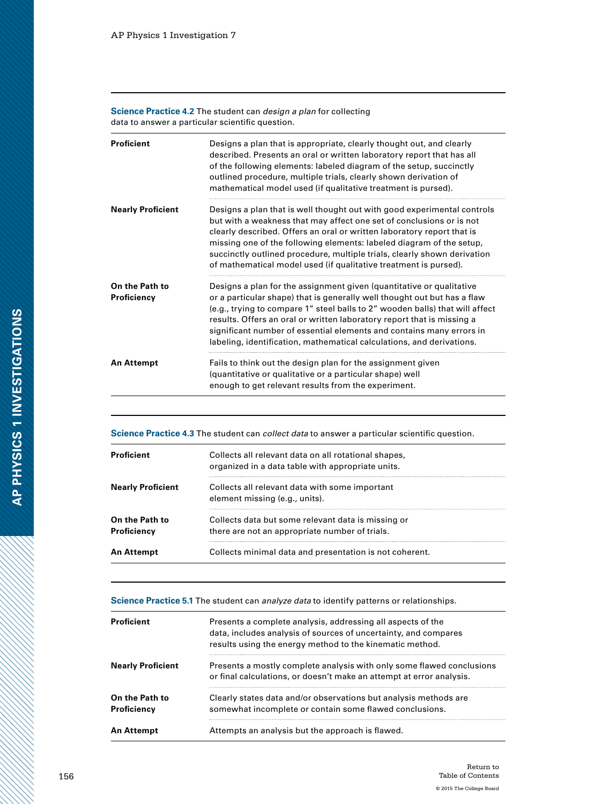**Science Practice 4.2** The student can *design a plan* for collecting data to answer a particular scientific question.

| <b>Proficient</b>             | Designs a plan that is appropriate, clearly thought out, and clearly<br>described. Presents an oral or written laboratory report that has all<br>of the following elements: labeled diagram of the setup, succinctly<br>outlined procedure, multiple trials, clearly shown derivation of<br>mathematical model used (if qualitative treatment is pursed).                                                                                                   |
|-------------------------------|-------------------------------------------------------------------------------------------------------------------------------------------------------------------------------------------------------------------------------------------------------------------------------------------------------------------------------------------------------------------------------------------------------------------------------------------------------------|
| <b>Nearly Proficient</b>      | Designs a plan that is well thought out with good experimental controls<br>but with a weakness that may affect one set of conclusions or is not<br>clearly described. Offers an oral or written laboratory report that is<br>missing one of the following elements: labeled diagram of the setup,<br>succinctly outlined procedure, multiple trials, clearly shown derivation<br>of mathematical model used (if qualitative treatment is pursed).           |
| On the Path to<br>Proficiency | Designs a plan for the assignment given (quantitative or qualitative<br>or a particular shape) that is generally well thought out but has a flaw<br>(e.g., trying to compare 1" steel balls to 2" wooden balls) that will affect<br>results. Offers an oral or written laboratory report that is missing a<br>significant number of essential elements and contains many errors in<br>labeling, identification, mathematical calculations, and derivations. |
| <b>An Attempt</b>             | Fails to think out the design plan for the assignment given<br>(quantitative or qualitative or a particular shape) well<br>enough to get relevant results from the experiment.                                                                                                                                                                                                                                                                              |

**Science Practice 4.3** The student can *collect data* to answer a particular scientific question.

| Proficient                    | Collects all relevant data on all rotational shapes,<br>organized in a data table with appropriate units. |
|-------------------------------|-----------------------------------------------------------------------------------------------------------|
| <b>Nearly Proficient</b>      | Collects all relevant data with some important<br>element missing (e.g., units).                          |
| On the Path to<br>Proficiency | Collects data but some relevant data is missing or<br>there are not an appropriate number of trials.      |
| An Attempt                    | Collects minimal data and presentation is not coherent.                                                   |

**Science Practice 5.1** The student can *analyze data* to identify patterns or relationships.

| <b>Proficient</b>             | Presents a complete analysis, addressing all aspects of the<br>data, includes analysis of sources of uncertainty, and compares<br>results using the energy method to the kinematic method. |
|-------------------------------|--------------------------------------------------------------------------------------------------------------------------------------------------------------------------------------------|
| <b>Nearly Proficient</b>      | Presents a mostly complete analysis with only some flawed conclusions<br>or final calculations, or doesn't make an attempt at error analysis.                                              |
| On the Path to<br>Proficiency | Clearly states data and/or observations but analysis methods are<br>somewhat incomplete or contain some flawed conclusions.                                                                |
| An Attempt                    | Attempts an analysis but the approach is flawed.                                                                                                                                           |

a dhe ann an 1970